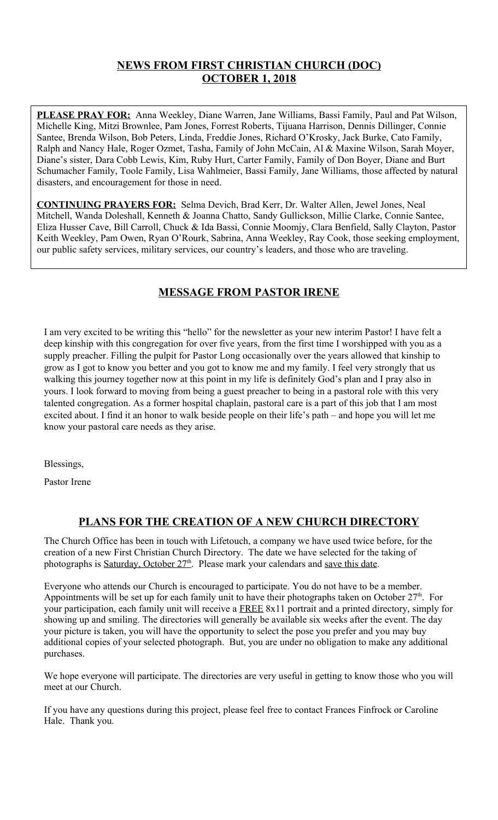## **NEWS FROM FIRST CHRISTIAN CHURCH (DOC) OCTOBER 1, 2018**

**PLEASE PRAY FOR:** Anna Weekley, Diane Warren, Jane Williams, Bassi Family, Paul and Pat Wilson, Michelle King, Mitzi Brownlee, Pam Jones, Forrest Roberts, Tijuana Harrison, Dennis Dillinger, Connie Santee, Brenda Wilson, Bob Peters, Linda, Freddie Jones, Richard O'Krosky, Jack Burke, Cato Family, Ralph and Nancy Hale, Roger Ozmet, Tasha, Family of John McCain, Al & Maxine Wilson, Sarah Moyer, Diane's sister, Dara Cobb Lewis, Kim, Ruby Hurt, Carter Family, Family of Don Boyer, Diane and Burt Schumacher Family, Toole Family, Lisa Wahlmeier, Bassi Family, Jane Williams, those affected by natural disasters, and encouragement for those in need.

**CONTINUING PRAYERS FOR:** Selma Devich, Brad Kerr, Dr. Walter Allen, Jewel Jones, Neal Mitchell, Wanda Doleshall, Kenneth & Joanna Chatto, Sandy Gullickson, Millie Clarke, Connie Santee, Eliza Husser Cave, Bill Carroll, Chuck & Ida Bassi, Connie Moomjy, Clara Benfield, Sally Clayton, Pastor Keith Weekley, Pam Owen, Ryan O'Rourk, Sabrina, Anna Weekley, Ray Cook, those seeking employment, our public safety services, military services, our country's leaders, and those who are traveling.

## **MESSAGE FROM PASTOR IRENE**

I am very excited to be writing this "hello" for the newsletter as your new interim Pastor! I have felt a deep kinship with this congregation for over five years, from the first time I worshipped with you as a supply preacher. Filling the pulpit for Pastor Long occasionally over the years allowed that kinship to grow as I got to know you better and you got to know me and my family. I feel very strongly that us walking this journey together now at this point in my life is definitely God's plan and I pray also in yours. I look forward to moving from being a guest preacher to being in a pastoral role with this very talented congregation. As a former hospital chaplain, pastoral care is a part of this job that I am most excited about. I find it an honor to walk beside people on their life's path – and hope you will let me know your pastoral care needs as they arise.

Blessings,

Pastor Irene

# **PLANS FOR THE CREATION OF A NEW CHURCH DIRECTORY**

The Church Office has been in touch with Lifetouch, a company we have used twice before, for the creation of a new First Christian Church Directory. The date we have selected for the taking of photographs is Saturday, October 27<sup>th</sup>. Please mark your calendars and save this date.

Everyone who attends our Church is encouraged to participate. You do not have to be a member. Appointments will be set up for each family unit to have their photographs taken on October  $27<sup>th</sup>$ . For your participation, each family unit will receive a FREE 8x11 portrait and a printed directory, simply for showing up and smiling. The directories will generally be available six weeks after the event. The day your picture is taken, you will have the opportunity to select the pose you prefer and you may buy additional copies of your selected photograph. But, you are under no obligation to make any additional purchases.

We hope everyone will participate. The directories are very useful in getting to know those who you will meet at our Church.

If you have any questions during this project, please feel free to contact Frances Finfrock or Caroline Hale. Thank you.